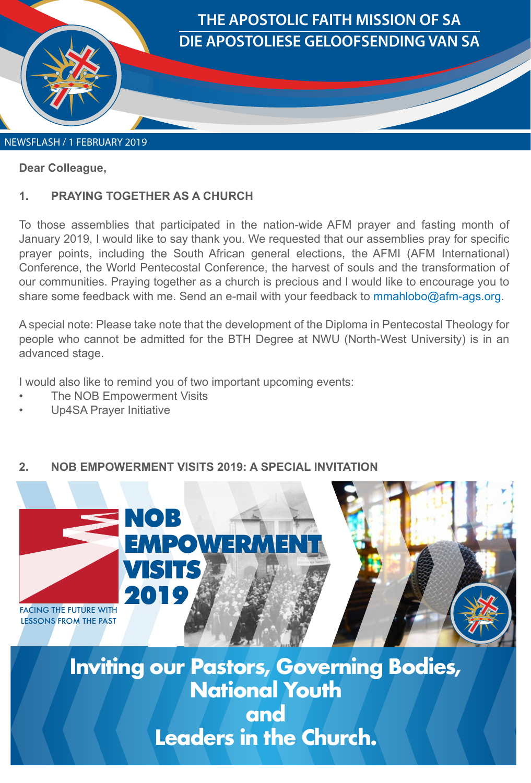

#### **Dear Colleague,**

#### **1. PRAYING TOGETHER AS A CHURCH**

To those assemblies that participated in the nation-wide AFM prayer and fasting month of January 2019, I would like to say thank you. We requested that our assemblies pray for specific prayer points, including the South African general elections, the AFMI (AFM International) Conference, the World Pentecostal Conference, the harvest of souls and the transformation of our communities. Praying together as a church is precious and I would like to encourage you to share some feedback with me. Send an e-mail with your feedback to mmahlobo@afm-ags.org.

A special note: Please take note that the development of the Diploma in Pentecostal Theology for people who cannot be admitted for the BTH Degree at NWU (North-West University) is in an advanced stage.

I would also like to remind you of two important upcoming events:

- **The NOB Empowerment Visits**
- Up4SA Prayer Initiative

## **2. NOB EMPOWERMENT VISITS 2019: A SPECIAL INVITATION**



**Inviting our Pastors, Governing Bodies, National Youth and Leaders in the Church.**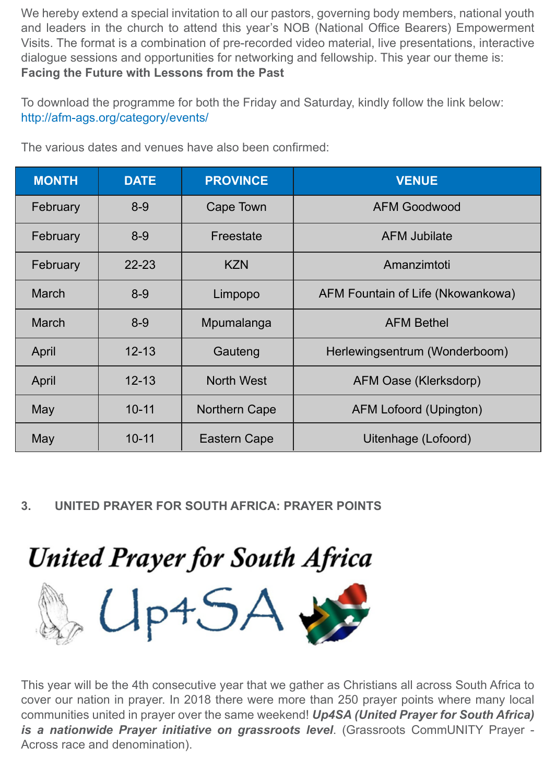We hereby extend a special invitation to all our pastors, governing body members, national youth and leaders in the church to attend this year's NOB (National Office Bearers) Empowerment Visits. The format is a combination of pre-recorded video material, live presentations, interactive dialogue sessions and opportunities for networking and fellowship. This year our theme is: **Facing the Future with Lessons from the Past**

To download the programme for both the Friday and Saturday, kindly follow the link below: http://afm-ags.org/category/events/

| <b>MONTH</b> | <b>DATE</b> | <b>PROVINCE</b>   | <b>VENUE</b>                      |
|--------------|-------------|-------------------|-----------------------------------|
| February     | $8 - 9$     | Cape Town         | <b>AFM Goodwood</b>               |
| February     | $8 - 9$     | Freestate         | <b>AFM Jubilate</b>               |
| February     | $22 - 23$   | <b>KZN</b>        | Amanzimtoti                       |
| <b>March</b> | $8 - 9$     | Limpopo           | AFM Fountain of Life (Nkowankowa) |
| <b>March</b> | $8 - 9$     | Mpumalanga        | <b>AFM Bethel</b>                 |
| April        | $12 - 13$   | Gauteng           | Herlewingsentrum (Wonderboom)     |
| April        | $12 - 13$   | <b>North West</b> | AFM Oase (Klerksdorp)             |
| May          | $10 - 11$   | Northern Cape     | AFM Lofoord (Upington)            |
| May          | $10 - 11$   | Eastern Cape      | Uitenhage (Lofoord)               |

The various dates and venues have also been confirmed:

## **3. UNITED PRAYER FOR SOUTH AFRICA: PRAYER POINTS**

# **United Prayer for South Africa**



This year will be the 4th consecutive year that we gather as Christians all across South Africa to cover our nation in prayer. In 2018 there were more than 250 prayer points where many local communities united in prayer over the same weekend! *Up4SA (United Prayer for South Africa) is a nationwide Prayer initiative on grassroots level*. (Grassroots CommUNITY Prayer - Across race and denomination).